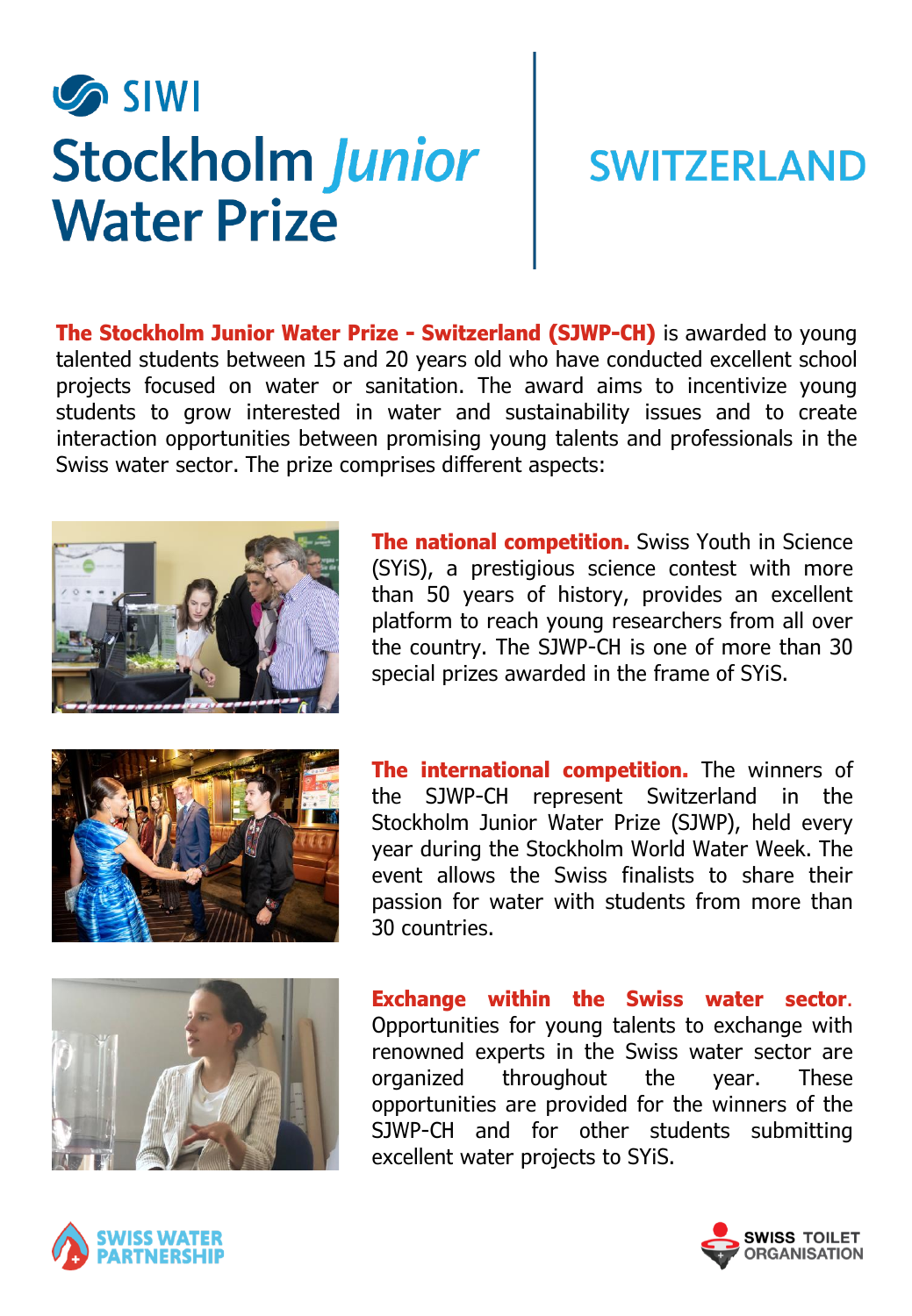## **SIWI Stockholm Junior Water Prize**

## **SWITZERLAND**

**The Stockholm Junior Water Prize - Switzerland (SJWP-CH)** is awarded to young talented students between 15 and 20 years old who have conducted excellent school projects focused on water or sanitation. The award aims to incentivize young students to grow interested in water and sustainability issues and to create interaction opportunities between promising young talents and professionals in the Swiss water sector. The prize comprises different aspects:



**The national competition.** Swiss Youth in Science (SYiS), a prestigious science contest with more than 50 years of history, provides an excellent platform to reach young researchers from all over the country. The SJWP-CH is one of more than 30 special prizes awarded in the frame of SYiS.



**The international competition.** The winners of the SJWP-CH represent Switzerland in the Stockholm Junior Water Prize (SJWP), held every year during the Stockholm World Water Week. The event allows the Swiss finalists to share their passion for water with students from more than 30 countries.



**Exchange within the Swiss water sector**. Opportunities for young talents to exchange with renowned experts in the Swiss water sector are organized throughout the year. These opportunities are provided for the winners of the SJWP-CH and for other students submitting excellent water projects to SYiS.